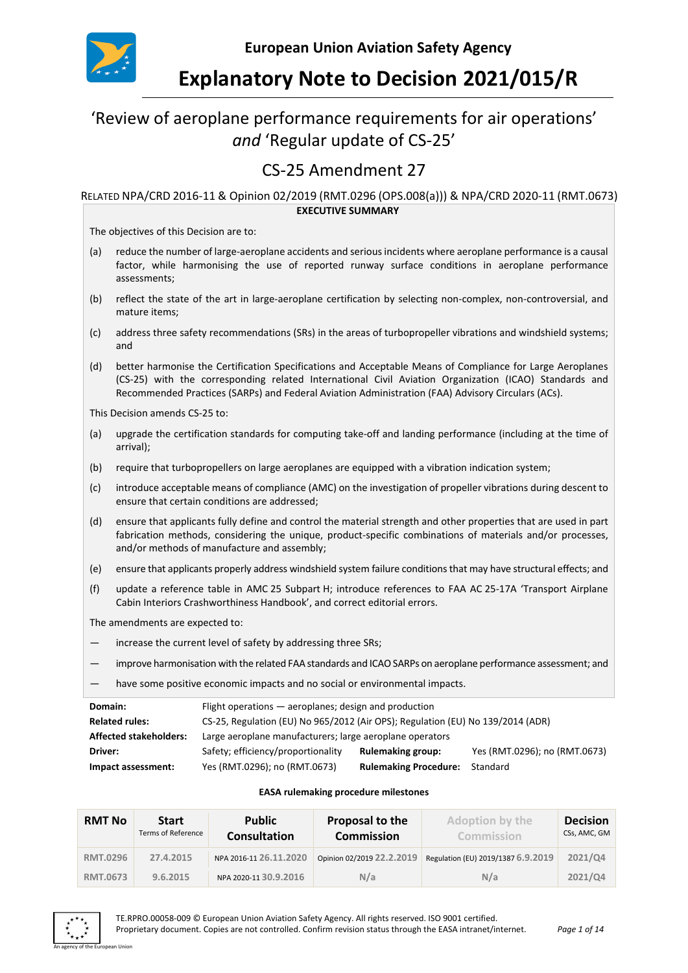

# **Explanatory Note to Decision 2021/015/R**

## 'Review of aeroplane performance requirements for air operations' *and* 'Regular update of CS-25'

## CS-25 Amendment 27

#### RELATED NPA/CRD 2016-11 & Opinion 02/2019 (RMT.0296 (OPS.008(a))) & NPA/CRD 2020-11 (RMT.0673) **EXECUTIVE SUMMARY**

The objectives of this Decision are to:

- (a) reduce the number of large-aeroplane accidents and serious incidents where aeroplane performance is a causal factor, while harmonising the use of reported runway surface conditions in aeroplane performance assessments;
- (b) reflect the state of the art in large-aeroplane certification by selecting non-complex, non-controversial, and mature items;
- (c) address three safety recommendations (SRs) in the areas of turbopropeller vibrations and windshield systems; and
- (d) better harmonise the Certification Specifications and Acceptable Means of Compliance for Large Aeroplanes (CS-25) with the corresponding related International Civil Aviation Organization (ICAO) Standards and Recommended Practices (SARPs) and Federal Aviation Administration (FAA) Advisory Circulars (ACs).

This Decision amends CS-25 to:

- (a) upgrade the certification standards for computing take-off and landing performance (including at the time of arrival);
- (b) require that turbopropellers on large aeroplanes are equipped with a vibration indication system;
- (c) introduce acceptable means of compliance (AMC) on the investigation of propeller vibrations during descent to ensure that certain conditions are addressed;
- (d) ensure that applicants fully define and control the material strength and other properties that are used in part fabrication methods, considering the unique, product-specific combinations of materials and/or processes, and/or methods of manufacture and assembly;
- (e) ensure that applicants properly address windshield system failure conditions that may have structural effects; and
- (f) update a reference table in AMC 25 Subpart H; introduce references to FAA AC 25-17A 'Transport Airplane Cabin Interiors Crashworthiness Handbook', and correct editorial errors.

The amendments are expected to:

- increase the current level of safety by addressing three SRs;
- improve harmonisation with the related FAA standards and ICAO SARPs on aeroplane performance assessment; and
- have some positive economic impacts and no social or environmental impacts.

| Domain:                       | Flight operations — aeroplanes; design and production                           |                              |                               |
|-------------------------------|---------------------------------------------------------------------------------|------------------------------|-------------------------------|
| <b>Related rules:</b>         | CS-25, Regulation (EU) No 965/2012 (Air OPS); Regulation (EU) No 139/2014 (ADR) |                              |                               |
| <b>Affected stakeholders:</b> | Large aeroplane manufacturers; large aeroplane operators                        |                              |                               |
| Driver:                       | Safety; efficiency/proportionality                                              | <b>Rulemaking group:</b>     | Yes (RMT.0296); no (RMT.0673) |
| Impact assessment:            | Yes (RMT.0296); no (RMT.0673)                                                   | <b>Rulemaking Procedure:</b> | Standard                      |

#### **EASA rulemaking procedure milestones**

| <b>RMT No</b>   | <b>Start</b><br>Terms of Reference | <b>Public</b><br><b>Consultation</b> | Proposal to the<br><b>Commission</b> | Adoption by the<br>Commission      | <b>Decision</b><br>CSs, AMC, GM |
|-----------------|------------------------------------|--------------------------------------|--------------------------------------|------------------------------------|---------------------------------|
| <b>RMT.0296</b> | 27.4.2015                          | NPA 2016-11 26.11.2020               | Opinion 02/2019 22.2.2019            | Regulation (EU) 2019/1387 6.9.2019 | 2021/Q4                         |
| <b>RMT.0673</b> | 9.6.2015                           | NPA 2020-11 30.9.2016                | N/a                                  | N/a                                | 2021/Q4                         |

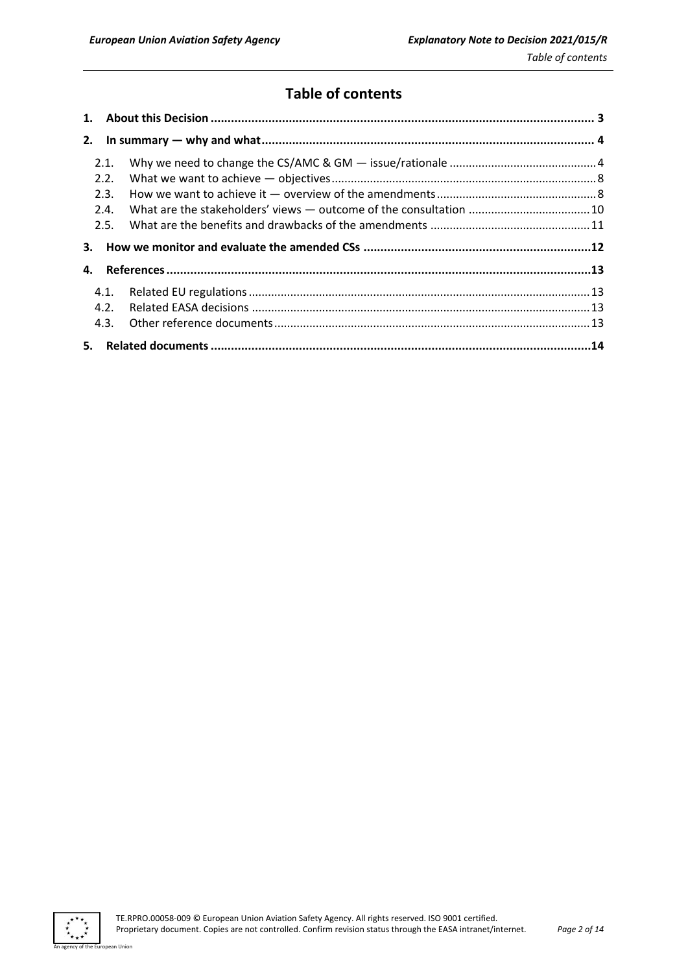## **Table of contents**

| 2.1. |  |
|------|--|
| 2.2. |  |
| 2.3. |  |
| 2.4. |  |
| 2.5. |  |
|      |  |
|      |  |
| 4.   |  |
| 4.1. |  |
| 4.2. |  |
| 4.3. |  |



an Unior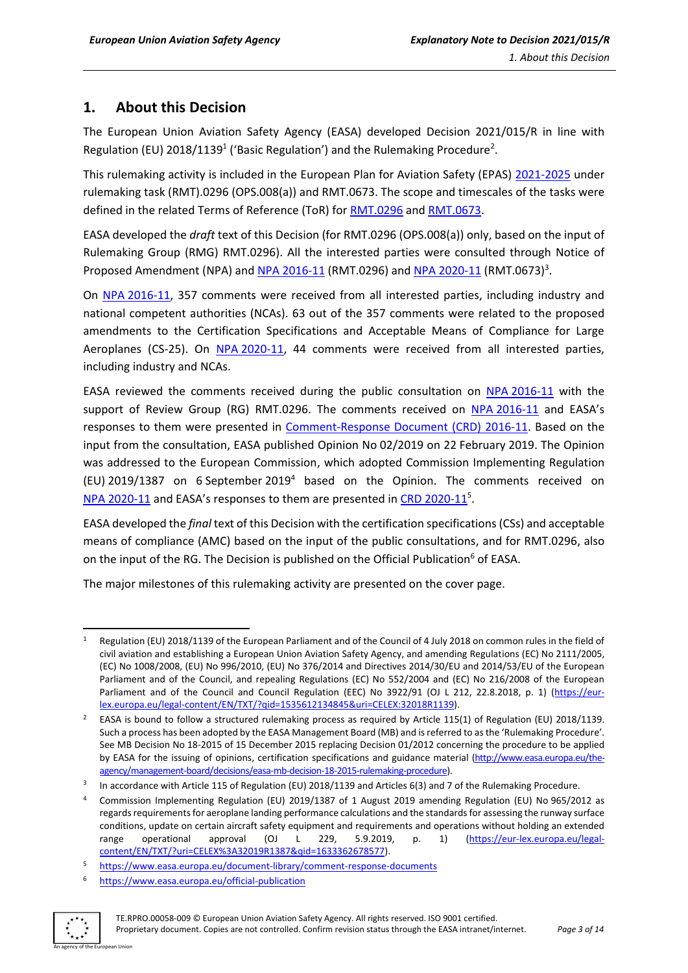## <span id="page-2-0"></span>**1. About this Decision**

The European Union Aviation Safety Agency (EASA) developed Decision 2021/015/R in line with Regulation (EU) 2018/1139<sup>1</sup> ('Basic Regulation') and the Rulemaking Procedure<sup>2</sup>.

This rulemaking activity is included in the European Plan for Aviation Safety (EPAS) [2021-2025](https://www.easa.europa.eu/document-library/general-publications/european-plan-aviation-safety-2021-2025) under rulemaking task (RMT).0296 (OPS.008(a)) and RMT.0673. The scope and timescales of the tasks were defined in the related Terms of Reference (ToR) for [RMT.0296](https://www.easa.europa.eu/document-library/terms-of-reference-and-group-compositions/tor-rmt0296-ops008a) an[d RMT.0673.](https://www.easa.europa.eu/document-library/terms-of-reference-and-group-compositions/tor-rmt0673)

EASA developed the *draft* text of this Decision (for RMT.0296 (OPS.008(a)) only, based on the input of Rulemaking Group (RMG) RMT.0296). All the interested parties were consulted through Notice of Proposed Amendment (NPA) and NPA [2016-11](https://www.easa.europa.eu/document-library/notices-of-proposed-amendment/npa-2016-11) (RMT.0296) and NPA [2020-11](https://www.easa.europa.eu/document-library/notices-of-proposed-amendment/npa-2020-11) (RMT.0673)<sup>3</sup>.

On NPA [2016-11,](https://www.easa.europa.eu/document-library/notices-of-proposed-amendment/npa-2016-11) 357 comments were received from all interested parties, including industry and national competent authorities (NCAs). 63 out of the 357 comments were related to the proposed amendments to the Certification Specifications and Acceptable Means of Compliance for Large Aeroplanes (CS-25). On NPA [2020-11,](https://www.easa.europa.eu/document-library/notices-of-proposed-amendment/npa-2020-11) 44 comments were received from all interested parties, including industry and NCAs.

EASA reviewed the comments received during the public consultation on NPA [2016-11](https://www.easa.europa.eu/document-library/notices-of-proposed-amendment/npa-2016-11) with the support of Review Group (RG) RMT.0296. The comments received on NPA [2016-11](https://www.easa.europa.eu/document-library/notices-of-proposed-amendment/npa-2016-11) and EASA's responses to them were presented in [Comment-Response Document \(CRD\) 2016-11.](https://www.easa.europa.eu/document-library/comment-response-documents/crd-2016-11) Based on the input from the consultation, EASA published Opinion No 02/2019 on 22 February 2019. The Opinion was addressed to the European Commission, which adopted Commission Implementing Regulation (EU) 2019/1387 on 6 September 2019<sup>4</sup> based on the Opinion. The comments received on NPA [2020-11](https://www.easa.europa.eu/document-library/comment-response-documents/crd-2016-11) and EASA's responses to them are presented in CRD 2020-11<sup>5</sup>.

EASA developed the *final* text of this Decision with the certification specifications (CSs) and acceptable means of compliance (AMC) based on the input of the public consultations, and for RMT.0296, also on the input of the RG. The Decision is published on the Official Publication<sup>6</sup> of EASA.

The major milestones of this rulemaking activity are presented on the cover page.

<sup>6</sup> <https://www.easa.europa.eu/official-publication>



Regulation (EU) 2018/1139 of the European Parliament and of the Council of 4 July 2018 on common rules in the field of civil aviation and establishing a European Union Aviation Safety Agency, and amending Regulations (EC) No 2111/2005, (EC) No 1008/2008, (EU) No 996/2010, (EU) No 376/2014 and Directives 2014/30/EU and 2014/53/EU of the European Parliament and of the Council, and repealing Regulations (EC) No 552/2004 and (EC) No 216/2008 of the European Parliament and of the Council and Council Regulation (EEC) No 3922/91 (OJ L 212, 22.8.2018, p. 1) [\(https://eur](https://eur-lex.europa.eu/legal-content/EN/TXT/?qid=1535612134845&uri=CELEX:32018R1139)[lex.europa.eu/legal-content/EN/TXT/?qid=1535612134845&uri=CELEX:32018R1139\)](https://eur-lex.europa.eu/legal-content/EN/TXT/?qid=1535612134845&uri=CELEX:32018R1139).

EASA is bound to follow a structured rulemaking process as required by Article 115(1) of Regulation (EU) 2018/1139. Such a process has been adopted by the EASA Management Board (MB) and is referred to as the 'Rulemaking Procedure'. See MB Decision No 18-2015 of 15 December 2015 replacing Decision 01/2012 concerning the procedure to be applied by EASA for the issuing of opinions, certification specifications and guidance material [\(http://www.easa.europa.eu/the](http://www.easa.europa.eu/the-agency/management-board/decisions/easa-mb-decision-18-2015-rulemaking-procedure)[agency/management-board/decisions/easa-mb-decision-18-2015-rulemaking-procedure\)](http://www.easa.europa.eu/the-agency/management-board/decisions/easa-mb-decision-18-2015-rulemaking-procedure).

<sup>3</sup> In accordance with Article 115 of Regulation (EU) 2018/1139 and Articles 6(3) and 7 of the Rulemaking Procedure.

<sup>4</sup> Commission Implementing Regulation (EU) 2019/1387 of 1 August 2019 amending Regulation (EU) No 965/2012 as regards requirements for aeroplane landing performance calculations and the standards for assessing the runway surface conditions, update on certain aircraft safety equipment and requirements and operations without holding an extended range operational approval (OJ L 229, 5.9.2019, p. 1) [\(https://eur-lex.europa.eu/legal](https://eur-lex.europa.eu/legal-content/EN/TXT/?uri=CELEX%3A32019R1387&qid=1633362678577)[content/EN/TXT/?uri=CELEX%3A32019R1387&qid=1633362678577\)](https://eur-lex.europa.eu/legal-content/EN/TXT/?uri=CELEX%3A32019R1387&qid=1633362678577).

<sup>5</sup> <https://www.easa.europa.eu/document-library/comment-response-documents>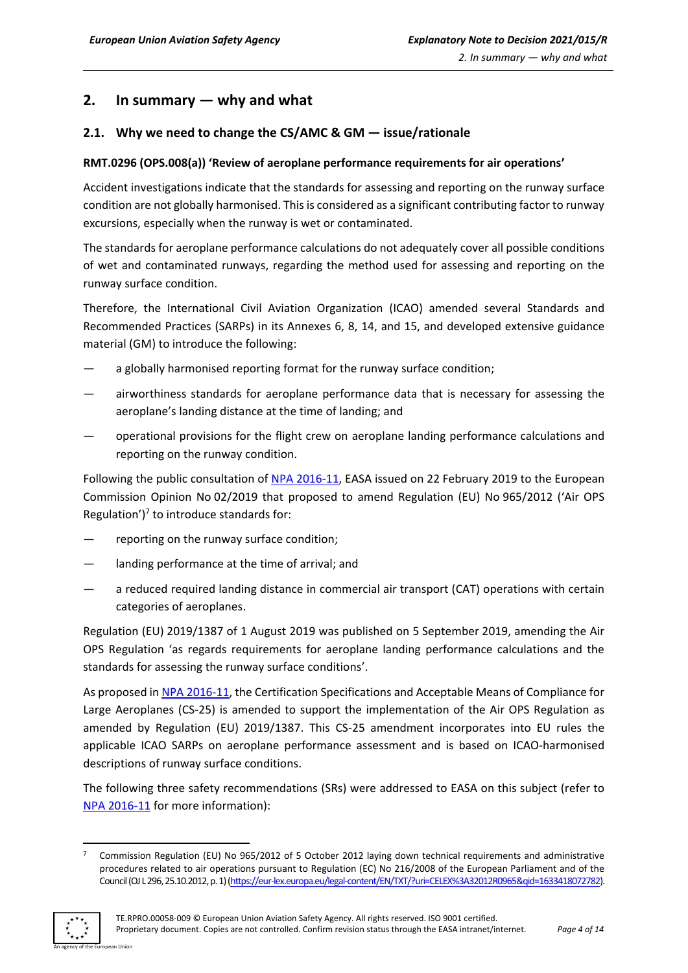## <span id="page-3-0"></span>**2. In summary — why and what**

### <span id="page-3-1"></span>**2.1. Why we need to change the CS/AMC & GM — issue/rationale**

#### **RMT.0296 (OPS.008(a)) 'Review of aeroplane performance requirements for air operations'**

Accident investigations indicate that the standards for assessing and reporting on the runway surface condition are not globally harmonised. This is considered as a significant contributing factor to runway excursions, especially when the runway is wet or contaminated.

The standards for aeroplane performance calculations do not adequately cover all possible conditions of wet and contaminated runways, regarding the method used for assessing and reporting on the runway surface condition.

Therefore, the International Civil Aviation Organization (ICAO) amended several Standards and Recommended Practices (SARPs) in its Annexes 6, 8, 14, and 15, and developed extensive guidance material (GM) to introduce the following:

- a globally harmonised reporting format for the runway surface condition;
- airworthiness standards for aeroplane performance data that is necessary for assessing the aeroplane's landing distance at the time of landing; and
- operational provisions for the flight crew on aeroplane landing performance calculations and reporting on the runway condition.

Following the public consultation of NPA [2016-11,](https://www.easa.europa.eu/document-library/notices-of-proposed-amendment/npa-2016-11) EASA issued on 22 February 2019 to the European Commission Opinion No 02/2019 that proposed to amend Regulation (EU) No 965/2012 ('Air OPS Regulation') $<sup>7</sup>$  to introduce standards for:</sup>

- reporting on the runway surface condition;
- landing performance at the time of arrival; and
- a reduced required landing distance in commercial air transport (CAT) operations with certain categories of aeroplanes.

Regulation (EU) 2019/1387 of 1 August 2019 was published on 5 September 2019, amending the Air OPS Regulation 'as regards requirements for aeroplane landing performance calculations and the standards for assessing the runway surface conditions'.

As proposed in NPA [2016-11,](https://www.easa.europa.eu/document-library/notices-of-proposed-amendment/npa-2016-11) the Certification Specifications and Acceptable Means of Compliance for Large Aeroplanes (CS-25) is amended to support the implementation of the Air OPS Regulation as amended by Regulation (EU) 2019/1387. This CS-25 amendment incorporates into EU rules the applicable ICAO SARPs on aeroplane performance assessment and is based on ICAO-harmonised descriptions of runway surface conditions.

The following three safety recommendations (SRs) were addressed to EASA on this subject (refer to NPA [2016-11](https://www.easa.europa.eu/document-library/notices-of-proposed-amendment/npa-2016-11) for more information):

<sup>7</sup> Commission Regulation (EU) No 965/2012 of 5 October 2012 laying down technical requirements and administrative procedures related to air operations pursuant to Regulation (EC) No 216/2008 of the European Parliament and of the Council (OJ L 296, 25.10.2012, p. 1) [\(https://eur-lex.europa.eu/legal-content/EN/TXT/?uri=CELEX%3A32012R0965&qid=1633418072782\).](https://eur-lex.europa.eu/legal-content/EN/TXT/?uri=CELEX%3A32012R0965&qid=1633418072782)

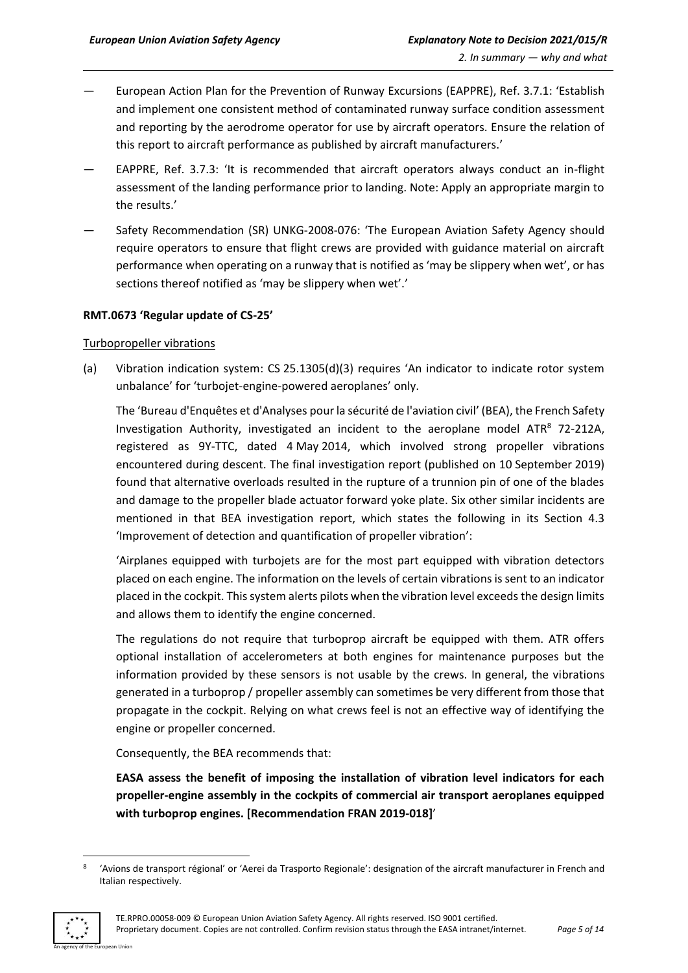- European Action Plan for the Prevention of Runway Excursions (EAPPRE), Ref. 3.7.1: 'Establish and implement one consistent method of contaminated runway surface condition assessment and reporting by the aerodrome operator for use by aircraft operators. Ensure the relation of this report to aircraft performance as published by aircraft manufacturers.'
- EAPPRE, Ref. 3.7.3: 'It is recommended that aircraft operators always conduct an in-flight assessment of the landing performance prior to landing. Note: Apply an appropriate margin to the results.'
- Safety Recommendation (SR) UNKG-2008-076: 'The European Aviation Safety Agency should require operators to ensure that flight crews are provided with guidance material on aircraft performance when operating on a runway that is notified as 'may be slippery when wet', or has sections thereof notified as 'may be slippery when wet'.'

#### **RMT.0673 'Regular update of CS-25'**

#### Turbopropeller vibrations

(a) Vibration indication system: CS 25.1305(d)(3) requires 'An indicator to indicate rotor system unbalance' for 'turbojet-engine-powered aeroplanes' only.

The 'Bureau d'Enquêtes et d'Analyses pour la sécurité de l'aviation civil' (BEA), the French Safety Investigation Authority, investigated an incident to the aeroplane model ATR $8$  72-212A, registered as 9Y-TTC, dated 4 May 2014, which involved strong propeller vibrations encountered during descent. The final investigation report (published on 10 September 2019) found that alternative overloads resulted in the rupture of a trunnion pin of one of the blades and damage to the propeller blade actuator forward yoke plate. Six other similar incidents are mentioned in that BEA investigation report, which states the following in its Section 4.3 'Improvement of detection and quantification of propeller vibration':

'Airplanes equipped with turbojets are for the most part equipped with vibration detectors placed on each engine. The information on the levels of certain vibrations is sent to an indicator placed in the cockpit. This system alerts pilots when the vibration level exceeds the design limits and allows them to identify the engine concerned.

The regulations do not require that turboprop aircraft be equipped with them. ATR offers optional installation of accelerometers at both engines for maintenance purposes but the information provided by these sensors is not usable by the crews. In general, the vibrations generated in a turboprop / propeller assembly can sometimes be very different from those that propagate in the cockpit. Relying on what crews feel is not an effective way of identifying the engine or propeller concerned.

Consequently, the BEA recommends that:

**EASA assess the benefit of imposing the installation of vibration level indicators for each propeller-engine assembly in the cockpits of commercial air transport aeroplanes equipped with turboprop engines. [Recommendation FRAN 2019-018]**'

<sup>8</sup> 'Avions de transport régional' or 'Aerei da Trasporto Regionale': designation of the aircraft manufacturer in French and Italian respectively.

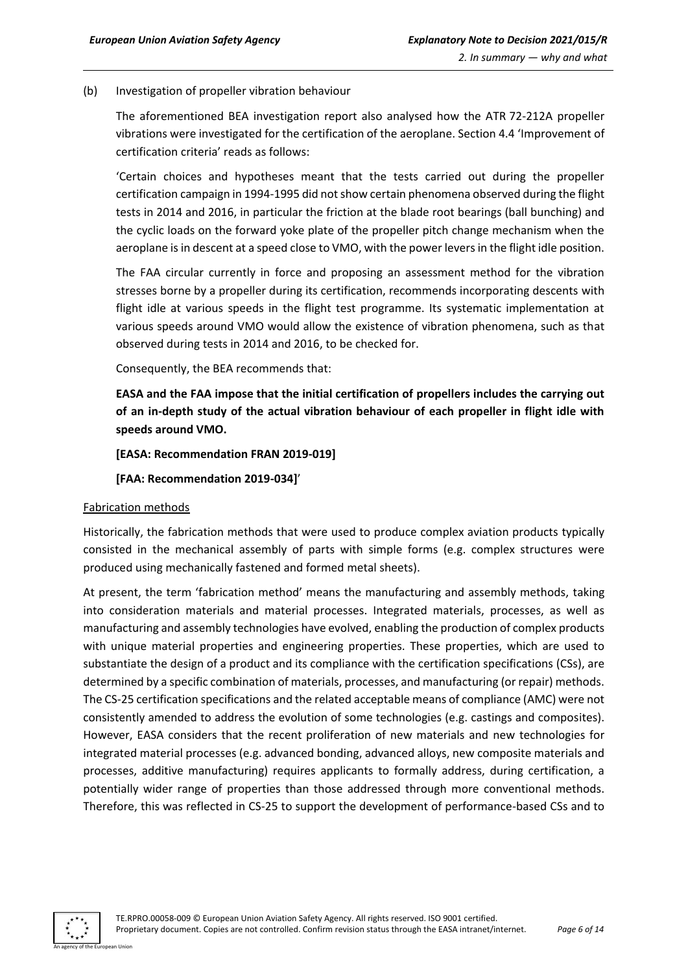#### (b) Investigation of propeller vibration behaviour

The aforementioned BEA investigation report also analysed how the ATR 72-212A propeller vibrations were investigated for the certification of the aeroplane. Section 4.4 'Improvement of certification criteria' reads as follows:

'Certain choices and hypotheses meant that the tests carried out during the propeller certification campaign in 1994-1995 did not show certain phenomena observed during the flight tests in 2014 and 2016, in particular the friction at the blade root bearings (ball bunching) and the cyclic loads on the forward yoke plate of the propeller pitch change mechanism when the aeroplane is in descent at a speed close to VMO, with the power levers in the flight idle position.

The FAA circular currently in force and proposing an assessment method for the vibration stresses borne by a propeller during its certification, recommends incorporating descents with flight idle at various speeds in the flight test programme. Its systematic implementation at various speeds around VMO would allow the existence of vibration phenomena, such as that observed during tests in 2014 and 2016, to be checked for.

Consequently, the BEA recommends that:

**EASA and the FAA impose that the initial certification of propellers includes the carrying out of an in-depth study of the actual vibration behaviour of each propeller in flight idle with speeds around VMO.**

#### **[EASA: Recommendation FRAN 2019-019]**

#### **[FAA: Recommendation 2019-034]**'

#### Fabrication methods

Historically, the fabrication methods that were used to produce complex aviation products typically consisted in the mechanical assembly of parts with simple forms (e.g. complex structures were produced using mechanically fastened and formed metal sheets).

At present, the term 'fabrication method' means the manufacturing and assembly methods, taking into consideration materials and material processes. Integrated materials, processes, as well as manufacturing and assembly technologies have evolved, enabling the production of complex products with unique material properties and engineering properties. These properties, which are used to substantiate the design of a product and its compliance with the certification specifications (CSs), are determined by a specific combination of materials, processes, and manufacturing (or repair) methods. The CS-25 certification specifications and the related acceptable means of compliance (AMC) were not consistently amended to address the evolution of some technologies (e.g. castings and composites). However, EASA considers that the recent proliferation of new materials and new technologies for integrated material processes (e.g. advanced bonding, advanced alloys, new composite materials and processes, additive manufacturing) requires applicants to formally address, during certification, a potentially wider range of properties than those addressed through more conventional methods. Therefore, this was reflected in CS-25 to support the development of performance-based CSs and to

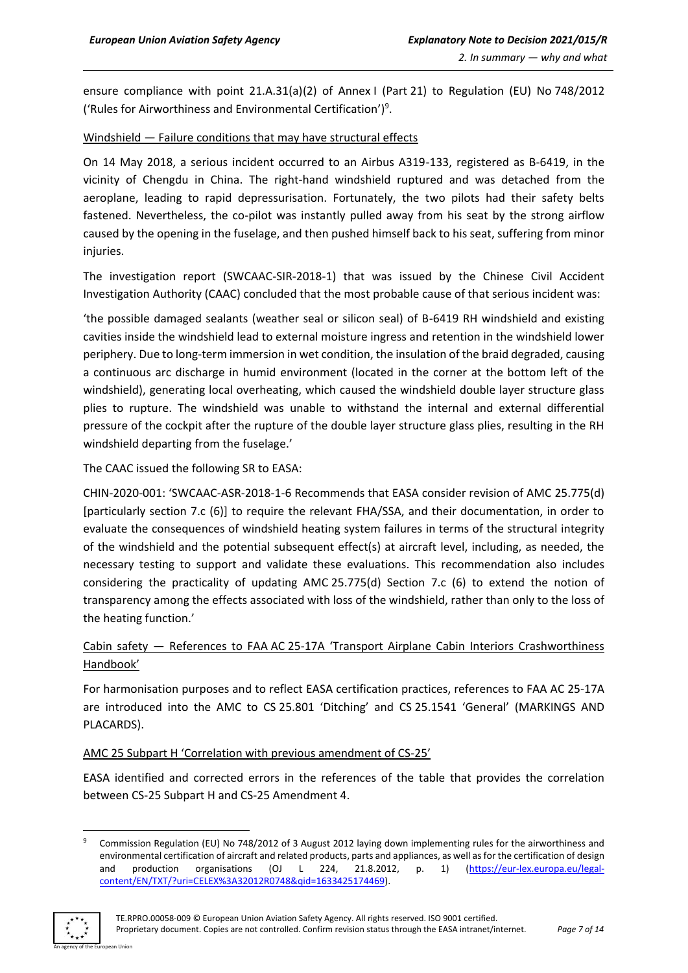ensure compliance with point 21.A.31(a)(2) of Annex I (Part 21) to Regulation (EU) No 748/2012 ('Rules for Airworthiness and Environmental Certification')<sup>9</sup> .

#### Windshield — Failure conditions that may have structural effects

On 14 May 2018, a serious incident occurred to an Airbus A319-133, registered as B-6419, in the vicinity of Chengdu in China. The right-hand windshield ruptured and was detached from the aeroplane, leading to rapid depressurisation. Fortunately, the two pilots had their safety belts fastened. Nevertheless, the co-pilot was instantly pulled away from his seat by the strong airflow caused by the opening in the fuselage, and then pushed himself back to his seat, suffering from minor injuries.

The investigation report (SWCAAC-SIR-2018-1) that was issued by the Chinese Civil Accident Investigation Authority (CAAC) concluded that the most probable cause of that serious incident was:

'the possible damaged sealants (weather seal or silicon seal) of B-6419 RH windshield and existing cavities inside the windshield lead to external moisture ingress and retention in the windshield lower periphery. Due to long-term immersion in wet condition, the insulation of the braid degraded, causing a continuous arc discharge in humid environment (located in the corner at the bottom left of the windshield), generating local overheating, which caused the windshield double layer structure glass plies to rupture. The windshield was unable to withstand the internal and external differential pressure of the cockpit after the rupture of the double layer structure glass plies, resulting in the RH windshield departing from the fuselage.'

The CAAC issued the following SR to EASA:

CHIN-2020-001: 'SWCAAC-ASR-2018-1-6 Recommends that EASA consider revision of AMC 25.775(d) [particularly section 7.c (6)] to require the relevant FHA/SSA, and their documentation, in order to evaluate the consequences of windshield heating system failures in terms of the structural integrity of the windshield and the potential subsequent effect(s) at aircraft level, including, as needed, the necessary testing to support and validate these evaluations. This recommendation also includes considering the practicality of updating AMC 25.775(d) Section 7.c (6) to extend the notion of transparency among the effects associated with loss of the windshield, rather than only to the loss of the heating function.'

### Cabin safety — References to FAA AC 25-17A 'Transport Airplane Cabin Interiors Crashworthiness Handbook'

For harmonisation purposes and to reflect EASA certification practices, references to FAA AC 25-17A are introduced into the AMC to CS 25.801 'Ditching' and CS 25.1541 'General' (MARKINGS AND PLACARDS).

#### AMC 25 Subpart H 'Correlation with previous amendment of CS-25'

EASA identified and corrected errors in the references of the table that provides the correlation between CS-25 Subpart H and CS-25 Amendment 4.

<sup>&</sup>lt;sup>9</sup> Commission Regulation (EU) No 748/2012 of 3 August 2012 laying down implementing rules for the airworthiness and environmental certification of aircraft and related products, parts and appliances, as well as for the certification of design and production organisations (OJ L 224, 21.8.2012, p. 1) [\(https://eur-lex.europa.eu/legal](https://eur-lex.europa.eu/legal-content/EN/TXT/?uri=CELEX%3A32012R0748&qid=1633425174469)[content/EN/TXT/?uri=CELEX%3A32012R0748&qid=1633425174469\)](https://eur-lex.europa.eu/legal-content/EN/TXT/?uri=CELEX%3A32012R0748&qid=1633425174469).

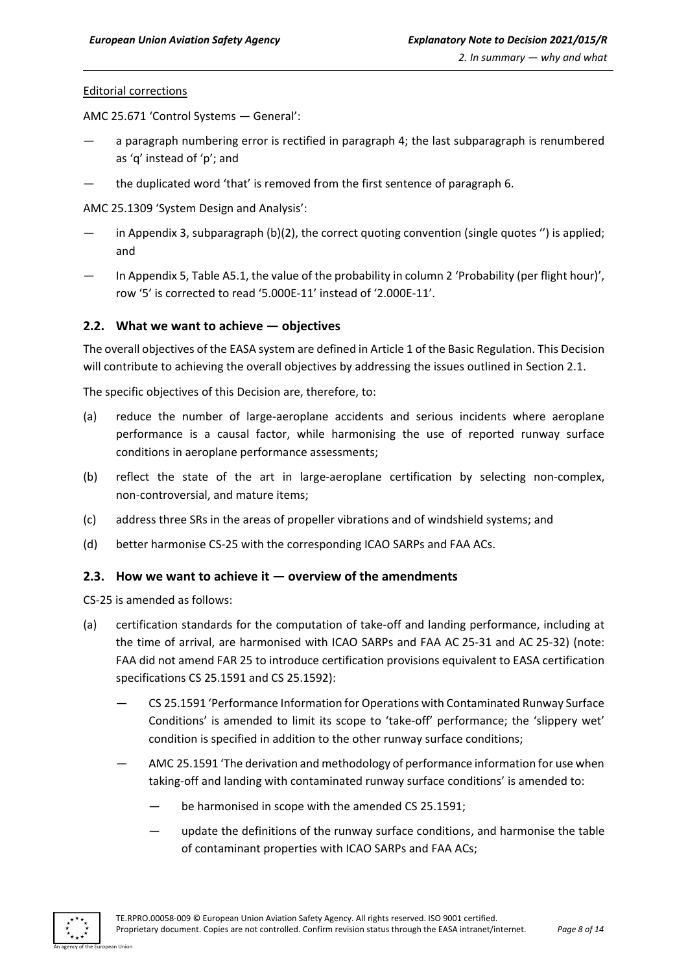#### Editorial corrections

AMC 25.671 'Control Systems — General':

- a paragraph numbering error is rectified in paragraph 4; the last subparagraph is renumbered as 'q' instead of 'p'; and
- the duplicated word 'that' is removed from the first sentence of paragraph 6.

AMC 25.1309 'System Design and Analysis':

- in Appendix 3, subparagraph (b)(2), the correct quoting convention (single quotes ") is applied; and
- In Appendix 5, Table A5.1, the value of the probability in column 2 'Probability (per flight hour)', row '5' is corrected to read '5.000E-11' instead of '2.000E-11'.

#### <span id="page-7-0"></span>**2.2. What we want to achieve — objectives**

The overall objectives of the EASA system are defined in Article 1 of the Basic Regulation. This Decision will contribute to achieving the overall objectives by addressing the issues outlined in Section 2.1.

The specific objectives of this Decision are, therefore, to:

- (a) reduce the number of large-aeroplane accidents and serious incidents where aeroplane performance is a causal factor, while harmonising the use of reported runway surface conditions in aeroplane performance assessments;
- (b) reflect the state of the art in large-aeroplane certification by selecting non-complex, non-controversial, and mature items;
- (c) address three SRs in the areas of propeller vibrations and of windshield systems; and
- (d) better harmonise CS-25 with the corresponding ICAO SARPs and FAA ACs.

#### <span id="page-7-1"></span>**2.3. How we want to achieve it — overview of the amendments**

CS-25 is amended as follows:

- (a) certification standards for the computation of take-off and landing performance, including at the time of arrival, are harmonised with ICAO SARPs and FAA AC 25-31 and AC 25-32) (note: FAA did not amend FAR 25 to introduce certification provisions equivalent to EASA certification specifications CS 25.1591 and CS 25.1592):
	- CS 25.1591 'Performance Information for Operations with Contaminated Runway Surface Conditions' is amended to limit its scope to 'take-off' performance; the 'slippery wet' condition is specified in addition to the other runway surface conditions;
	- AMC 25.1591 'The derivation and methodology of performance information for use when taking-off and landing with contaminated runway surface conditions' is amended to:
		- be harmonised in scope with the amended CS 25.1591;
		- update the definitions of the runway surface conditions, and harmonise the table of contaminant properties with ICAO SARPs and FAA ACs;

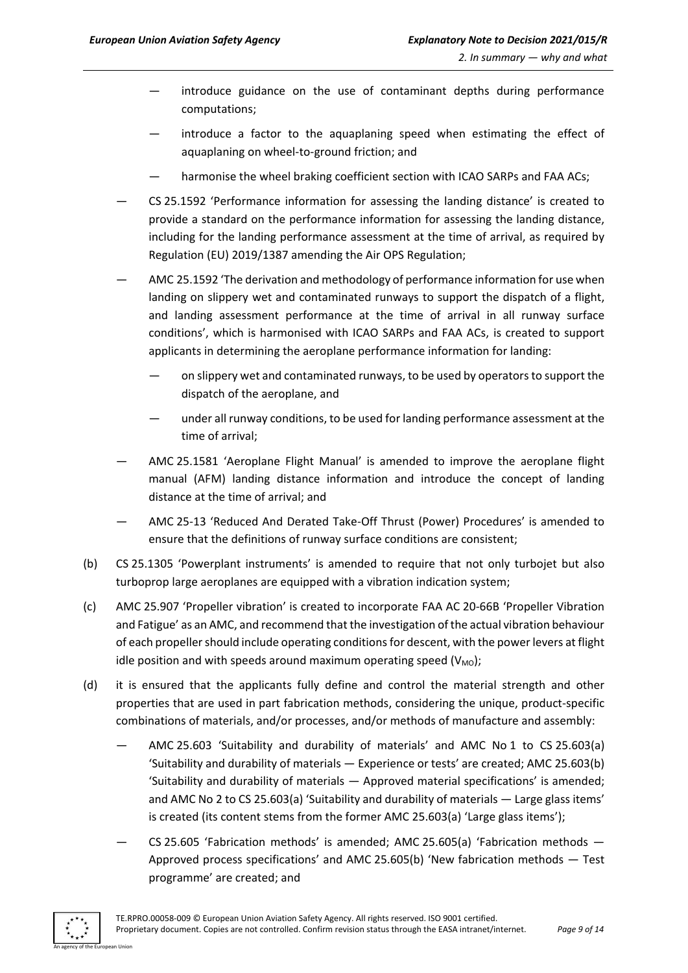- introduce guidance on the use of contaminant depths during performance computations;
- introduce a factor to the aquaplaning speed when estimating the effect of aquaplaning on wheel-to-ground friction; and
- harmonise the wheel braking coefficient section with ICAO SARPs and FAA ACs;
- CS 25.1592 'Performance information for assessing the landing distance' is created to provide a standard on the performance information for assessing the landing distance, including for the landing performance assessment at the time of arrival, as required by Regulation (EU) 2019/1387 amending the Air OPS Regulation;
- AMC 25.1592 'The derivation and methodology of performance information for use when landing on slippery wet and contaminated runways to support the dispatch of a flight, and landing assessment performance at the time of arrival in all runway surface conditions', which is harmonised with ICAO SARPs and FAA ACs, is created to support applicants in determining the aeroplane performance information for landing:
	- on slippery wet and contaminated runways, to be used by operators to support the dispatch of the aeroplane, and
	- under all runway conditions, to be used for landing performance assessment at the time of arrival;
- AMC 25.1581 'Aeroplane Flight Manual' is amended to improve the aeroplane flight manual (AFM) landing distance information and introduce the concept of landing distance at the time of arrival; and
- AMC 25-13 'Reduced And Derated Take-Off Thrust (Power) Procedures' is amended to ensure that the definitions of runway surface conditions are consistent;
- (b) CS 25.1305 'Powerplant instruments' is amended to require that not only turbojet but also turboprop large aeroplanes are equipped with a vibration indication system;
- (c) AMC 25.907 'Propeller vibration' is created to incorporate FAA AC 20-66B 'Propeller Vibration and Fatigue' as an AMC, and recommend that the investigation of the actual vibration behaviour of each propeller should include operating conditions for descent, with the power levers at flight idle position and with speeds around maximum operating speed  $(V_{MO})$ ;
- (d) it is ensured that the applicants fully define and control the material strength and other properties that are used in part fabrication methods, considering the unique, product-specific combinations of materials, and/or processes, and/or methods of manufacture and assembly:
	- AMC 25.603 'Suitability and durability of materials' and AMC No 1 to CS 25.603(a) 'Suitability and durability of materials — Experience or tests' are created; AMC 25.603(b) 'Suitability and durability of materials — Approved material specifications' is amended; and AMC No 2 to CS 25.603(a) 'Suitability and durability of materials — Large glass items' is created (its content stems from the former AMC 25.603(a) 'Large glass items');
	- CS 25.605 'Fabrication methods' is amended: AMC 25.605(a) 'Fabrication methods  $-$ Approved process specifications' and AMC 25.605(b) 'New fabrication methods — Test programme' are created; and

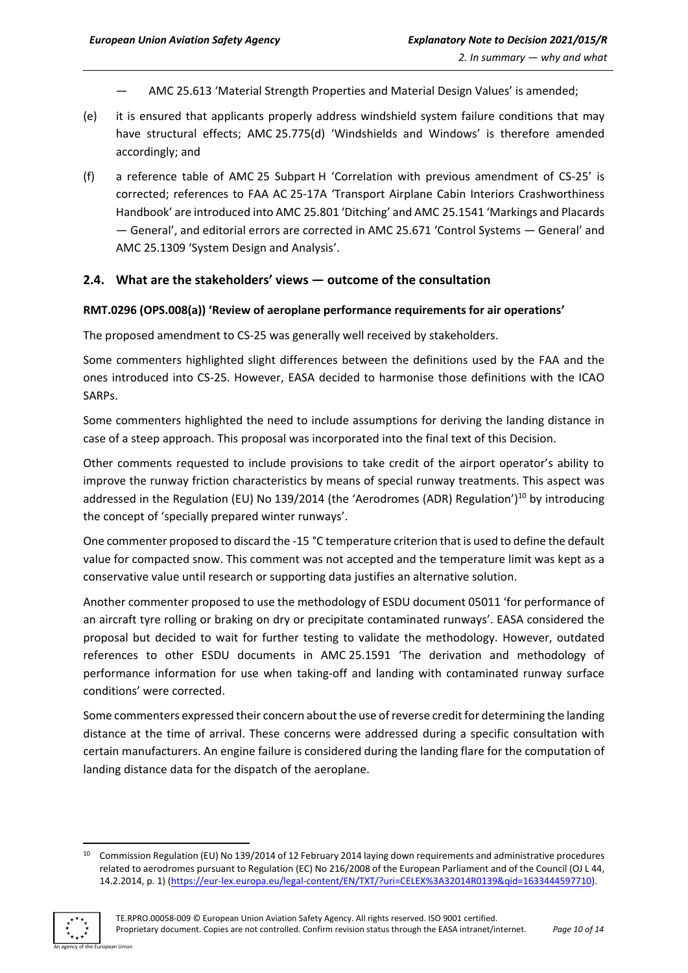- AMC 25.613 'Material Strength Properties and Material Design Values' is amended;
- (e) it is ensured that applicants properly address windshield system failure conditions that may have structural effects; AMC 25.775(d) 'Windshields and Windows' is therefore amended accordingly; and
- (f) a reference table of AMC 25 Subpart H 'Correlation with previous amendment of CS-25' is corrected; references to FAA AC 25-17A 'Transport Airplane Cabin Interiors Crashworthiness Handbook' are introduced into AMC 25.801 'Ditching' and AMC 25.1541 'Markings and Placards — General', and editorial errors are corrected in AMC 25.671 'Control Systems — General' and AMC 25.1309 'System Design and Analysis'.

#### <span id="page-9-0"></span>**2.4. What are the stakeholders' views — outcome of the consultation**

#### **RMT.0296 (OPS.008(a)) 'Review of aeroplane performance requirements for air operations'**

The proposed amendment to CS-25 was generally well received by stakeholders.

Some commenters highlighted slight differences between the definitions used by the FAA and the ones introduced into CS-25. However, EASA decided to harmonise those definitions with the ICAO SARPs.

Some commenters highlighted the need to include assumptions for deriving the landing distance in case of a steep approach. This proposal was incorporated into the final text of this Decision.

Other comments requested to include provisions to take credit of the airport operator's ability to improve the runway friction characteristics by means of special runway treatments. This aspect was addressed in the Regulation (EU) No 139/2014 (the 'Aerodromes (ADR) Regulation')<sup>10</sup> by introducing the concept of 'specially prepared winter runways'.

One commenter proposed to discard the -15 °C temperature criterion that is used to define the default value for compacted snow. This comment was not accepted and the temperature limit was kept as a conservative value until research or supporting data justifies an alternative solution.

Another commenter proposed to use the methodology of ESDU document 05011 'for performance of an aircraft tyre rolling or braking on dry or precipitate contaminated runways'. EASA considered the proposal but decided to wait for further testing to validate the methodology. However, outdated references to other ESDU documents in AMC 25.1591 'The derivation and methodology of performance information for use when taking-off and landing with contaminated runway surface conditions' were corrected.

Some commenters expressed their concern about the use of reverse credit for determining the landing distance at the time of arrival. These concerns were addressed during a specific consultation with certain manufacturers. An engine failure is considered during the landing flare for the computation of landing distance data for the dispatch of the aeroplane.

<sup>&</sup>lt;sup>10</sup> Commission Regulation (EU) No 139/2014 of 12 February 2014 laying down requirements and administrative procedures related to aerodromes pursuant to Regulation (EC) No 216/2008 of the European Parliament and of the Council (OJ L 44, 14.2.2014, p. 1) [\(https://eur-lex.europa.eu/legal-content/EN/TXT/?uri=CELEX%3A32014R0139&qid=1633444597710\)](https://eur-lex.europa.eu/legal-content/EN/TXT/?uri=CELEX%3A32014R0139&qid=1633444597710).

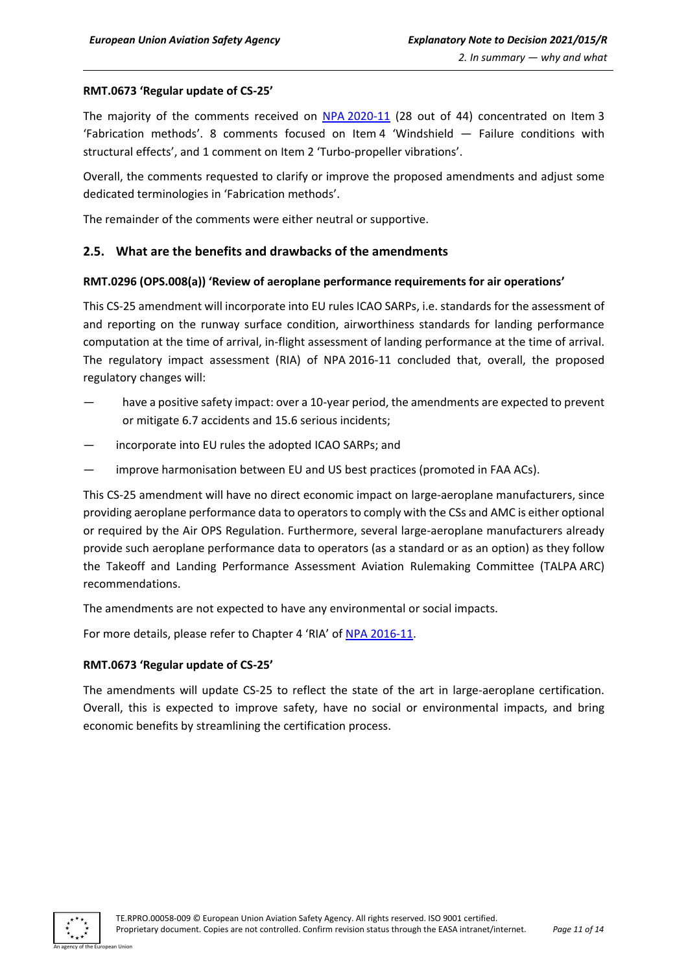#### **RMT.0673 'Regular update of CS-25'**

The majority of the comments received on NPA [2020-11](https://www.easa.europa.eu/document-library/notices-of-proposed-amendment/npa-2020-11) (28 out of 44) concentrated on Item 3 'Fabrication methods'. 8 comments focused on Item 4 'Windshield — Failure conditions with structural effects', and 1 comment on Item 2 'Turbo-propeller vibrations'.

Overall, the comments requested to clarify or improve the proposed amendments and adjust some dedicated terminologies in 'Fabrication methods'.

The remainder of the comments were either neutral or supportive.

#### <span id="page-10-0"></span>**2.5. What are the benefits and drawbacks of the amendments**

#### **RMT.0296 (OPS.008(a)) 'Review of aeroplane performance requirements for air operations'**

This CS-25 amendment will incorporate into EU rules ICAO SARPs, i.e. standards for the assessment of and reporting on the runway surface condition, airworthiness standards for landing performance computation at the time of arrival, in-flight assessment of landing performance at the time of arrival. The regulatory impact assessment (RIA) of NPA 2016-11 concluded that, overall, the proposed regulatory changes will:

- have a positive safety impact: over a 10-year period, the amendments are expected to prevent or mitigate 6.7 accidents and 15.6 serious incidents;
- incorporate into EU rules the adopted ICAO SARPs; and
- improve harmonisation between EU and US best practices (promoted in FAA ACs).

This CS-25 amendment will have no direct economic impact on large-aeroplane manufacturers, since providing aeroplane performance data to operators to comply with the CSs and AMC is either optional or required by the Air OPS Regulation. Furthermore, several large-aeroplane manufacturers already provide such aeroplane performance data to operators (as a standard or as an option) as they follow the Takeoff and Landing Performance Assessment Aviation Rulemaking Committee (TALPA ARC) recommendations.

The amendments are not expected to have any environmental or social impacts.

For more details, please refer to Chapter 4 'RIA' of NPA [2016-11.](https://www.easa.europa.eu/document-library/notices-of-proposed-amendment/npa-2016-11)

#### **RMT.0673 'Regular update of CS-25'**

The amendments will update CS-25 to reflect the state of the art in large-aeroplane certification. Overall, this is expected to improve safety, have no social or environmental impacts, and bring economic benefits by streamlining the certification process.

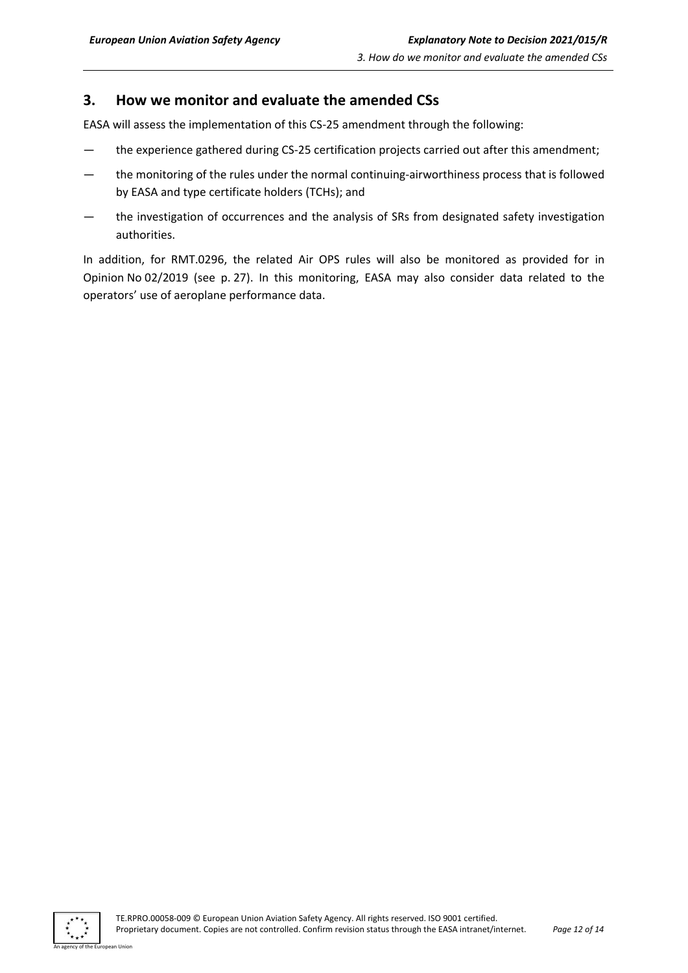## <span id="page-11-0"></span>**3. How we monitor and evaluate the amended CSs**

EASA will assess the implementation of this CS-25 amendment through the following:

- the experience gathered during CS-25 certification projects carried out after this amendment;
- the monitoring of the rules under the normal continuing-airworthiness process that is followed by EASA and type certificate holders (TCHs); and
- the investigation of occurrences and the analysis of SRs from designated safety investigation authorities.

In addition, for RMT.0296, the related Air OPS rules will also be monitored as provided for in Opinion No 02/2019 (see p. 27). In this monitoring, EASA may also consider data related to the operators' use of aeroplane performance data.

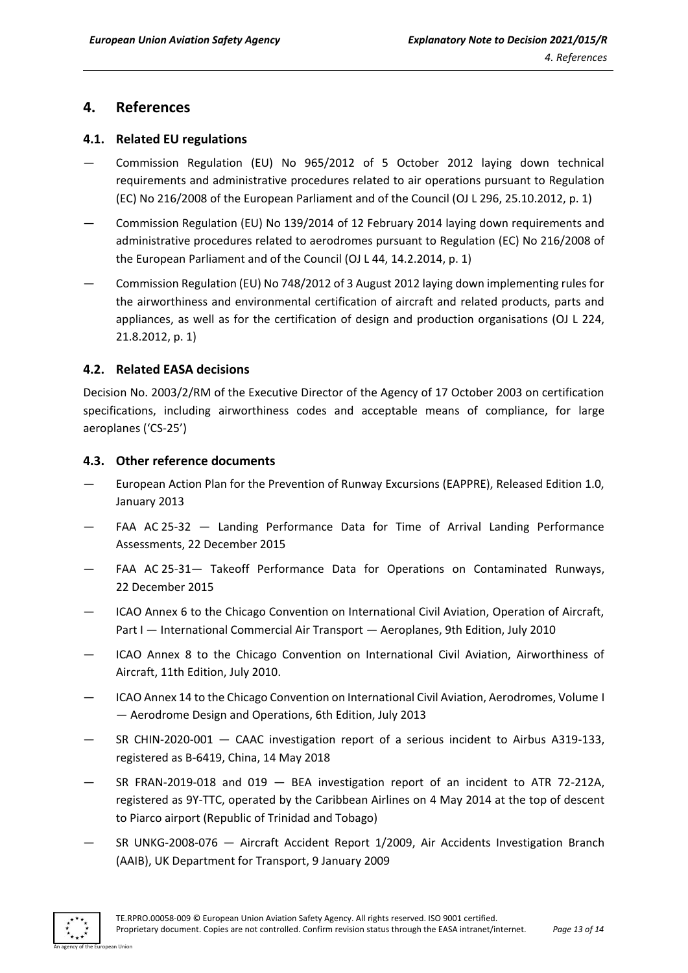### <span id="page-12-0"></span>**4. References**

#### <span id="page-12-1"></span>**4.1. Related EU regulations**

- Commission Regulation (EU) No 965/2012 of 5 October 2012 laying down technical requirements and administrative procedures related to air operations pursuant to Regulation (EC) No 216/2008 of the European Parliament and of the Council (OJ L 296, 25.10.2012, p. 1)
- Commission Regulation (EU) No 139/2014 of 12 February 2014 laying down requirements and administrative procedures related to aerodromes pursuant to Regulation (EC) No 216/2008 of the European Parliament and of the Council (OJ L 44, 14.2.2014, p. 1)
- Commission Regulation (EU) No 748/2012 of 3 August 2012 laying down implementing rules for the airworthiness and environmental certification of aircraft and related products, parts and appliances, as well as for the certification of design and production organisations (OJ L 224, 21.8.2012, p. 1)

#### <span id="page-12-2"></span>**4.2. Related EASA decisions**

Decision No. 2003/2/RM of the Executive Director of the Agency of 17 October 2003 on certification specifications, including airworthiness codes and acceptable means of compliance, for large aeroplanes ('CS-25')

#### <span id="page-12-3"></span>**4.3. Other reference documents**

- European Action Plan for the Prevention of Runway Excursions (EAPPRE), Released Edition 1.0, January 2013
- FAA AC 25-32 Landing Performance Data for Time of Arrival Landing Performance Assessments, 22 December 2015
- FAA AC 25-31 Takeoff Performance Data for Operations on Contaminated Runways, 22 December 2015
- ICAO Annex 6 to the Chicago Convention on International Civil Aviation, Operation of Aircraft, Part I — International Commercial Air Transport — Aeroplanes, 9th Edition, July 2010
- ICAO Annex 8 to the Chicago Convention on International Civil Aviation, Airworthiness of Aircraft, 11th Edition, July 2010.
- ICAO Annex 14 to the Chicago Convention on International Civil Aviation, Aerodromes, Volume I — Aerodrome Design and Operations, 6th Edition, July 2013
- SR CHIN-2020-001 CAAC investigation report of a serious incident to Airbus A319-133, registered as B-6419, China, 14 May 2018
- SR FRAN-2019-018 and 019  $-$  BEA investigation report of an incident to ATR 72-212A, registered as 9Y-TTC, operated by the Caribbean Airlines on 4 May 2014 at the top of descent to Piarco airport (Republic of Trinidad and Tobago)
- SR UNKG-2008-076 Aircraft Accident Report 1/2009, Air Accidents Investigation Branch (AAIB), UK Department for Transport, 9 January 2009